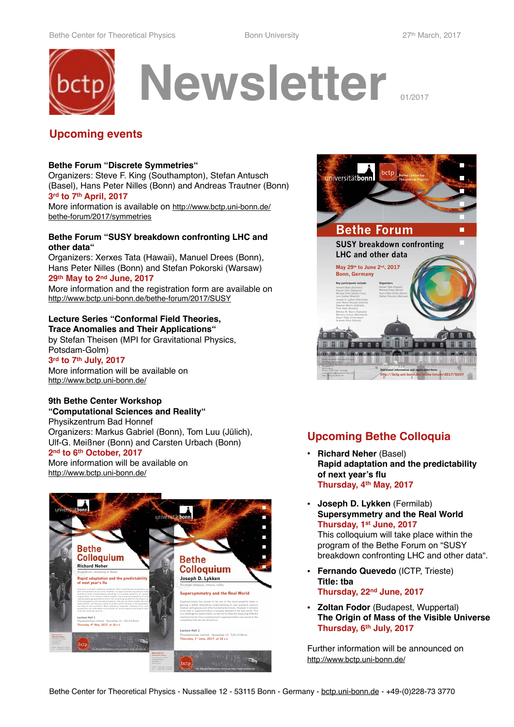

### **Upcoming events**

#### **Bethe Forum "Discrete Symmetries"**

Organizers: Steve F. King (Southampton), Stefan Antusch (Basel), Hans Peter Nilles (Bonn) and Andreas Trautner (Bonn) **3rd to 7th April, 2017**

[More information is available on http://www.bctp.uni-bonn.de/](http://www.bctp.uni-bonn.de/bethe-forum/2017/symmetries) bethe-forum/2017/symmetries

#### **Bethe Forum "SUSY breakdown confronting LHC and other data"**

Organizers: Xerxes Tata (Hawaii), Manuel Drees (Bonn), Hans Peter Nilles (Bonn) and Stefan Pokorski (Warsaw) **29th May to 2nd June, 2017**

More information and the registration form are available on [http://www.bctp.uni-bonn.de/bethe-forum/2017/SUSY](https://indico.desy.de/conferenceDisplay.py?confId=17446)

#### **Lecture Series "Conformal Field Theories, Trace Anomalies and Their Applications"**

by Stefan Theisen (MPI for Gravitational Physics, Potsdam-Golm) **3rd to 7th July, 2017**

More information will be available on <http://www.bctp.uni-bonn.de/>

### **9th Bethe Center Workshop**

**"Computational Sciences and Reality"** Physikzentrum Bad Honnef

Organizers: Markus Gabriel (Bonn), Tom Luu (Jülich), Ulf-G. Meißner (Bonn) and Carsten Urbach (Bonn) **2nd to 6th October, 2017**

More information will be available on <http://www.bctp.uni-bonn.de/>





# **Upcoming Bethe Colloquia**

- **• Richard Neher** (Basel) **Rapid adaptation and the predictability of next year's flu Thursday, 4th May, 2017**
- **• Joseph D. Lykken** (Fermilab) **Supersymmetry and the Real World Thursday, 1st June, 2017**  This colloquium will take place within the program of the Bethe Forum on "SUSY

breakdown confronting LHC and other data".

- **• Fernando Quevedo** (ICTP, Trieste) **Title: tba Thursday, 22nd June, 2017**
- **• Zoltan Fodor** (Budapest, Wuppertal) **The Origin of Mass of the Visible Universe Thursday, 6th July, 2017**

Further information will be announced on [http://www.bctp.uni-bonn.de/](http://www.bctp.uni-bonn.de/?navigation=news)